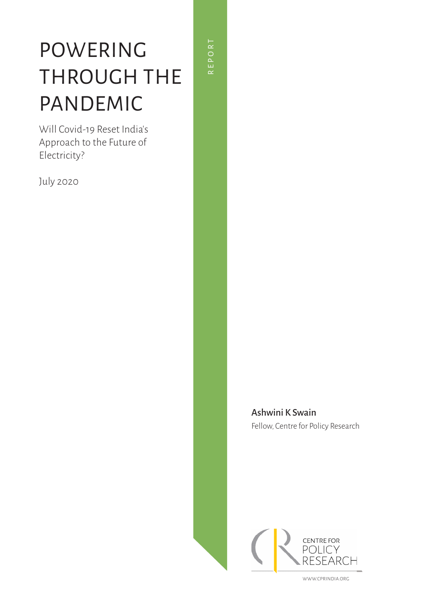# POWERING THROUGH THE PANDEMIC

Will Covid-19 Reset India's Approach to the Future of Electricity?

July 2020

REPORT REPORT

> Ashwini K Swain Fellow, Centre for Policy Research



WWW.CPRINDIA.ORG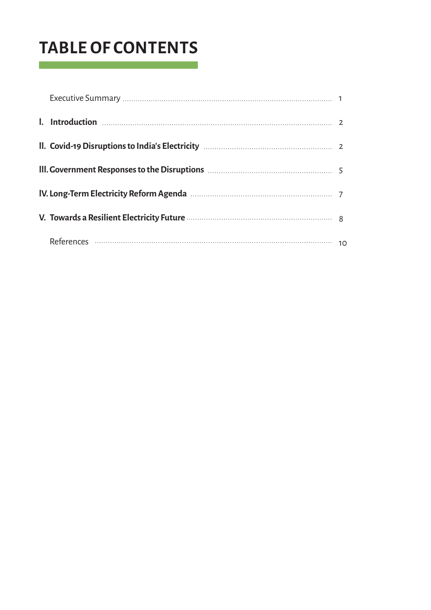## **TABLE OF CONTENTS**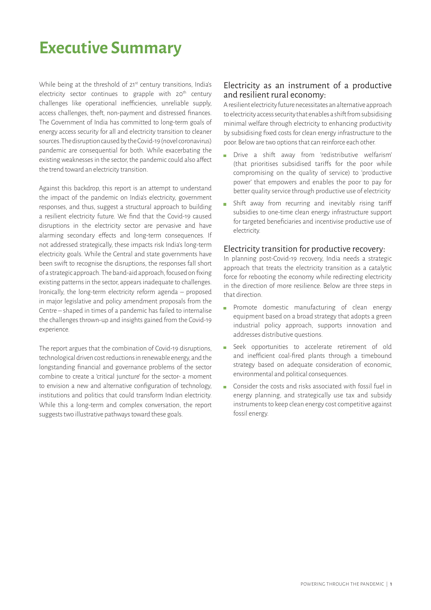### **Executive Summary**

While being at the threshold of 21<sup>st</sup> century transitions, India's electricity sector continues to grapple with  $20<sup>th</sup>$  century challenges like operational inefficiencies, unreliable supply, access challenges, theft, non-payment and distressed finances. The Government of India has committed to long-term goals of energy access security for all and electricity transition to cleaner sources. The disruption caused by the Covid-19 (novel coronavirus) pandemic are consequential for both. While exacerbating the existing weaknesses in the sector, the pandemic could also affect the trend toward an electricity transition.

Against this backdrop, this report is an attempt to understand the impact of the pandemic on India's electricity, government responses, and thus, suggest a structural approach to building a resilient electricity future. We find that the Covid-19 caused disruptions in the electricity sector are pervasive and have alarming secondary effects and long-term consequences. If not addressed strategically, these impacts risk India's long-term electricity goals. While the Central and state governments have been swift to recognise the disruptions, the responses fall short of a strategic approach. The band-aid approach, focused on fixing existing patterns in the sector, appears inadequate to challenges. Ironically, the long-term electricity reform agenda – proposed in major legislative and policy amendment proposals from the Centre – shaped in times of a pandemic has failed to internalise the challenges thrown-up and insights gained from the Covid-19 experience.

The report argues that the combination of Covid-19 disruptions, technological driven cost reductions in renewable energy, and the longstanding financial and governance problems of the sector combine to create a 'critical juncture' for the sector- a moment to envision a new and alternative configuration of technology, institutions and politics that could transform Indian electricity. While this a long-term and complex conversation, the report suggests two illustrative pathways toward these goals.

#### Electricity as an instrument of a productive and resilient rural economy:

A resilient electricity future necessitates an alternative approach to electricity access security that enables a shift from subsidising minimal welfare through electricity to enhancing productivity by subsidising fixed costs for clean energy infrastructure to the poor. Below are two options that can reinforce each other.

- Drive a shift away from 'redistributive welfarism' (that prioritises subsidised tariffs for the poor while compromising on the quality of service) to 'productive power' that empowers and enables the poor to pay for better quality service through productive use of electricity
- Shift away from recurring and inevitably rising tariff subsidies to one-time clean energy infrastructure support for targeted beneficiaries and incentivise productive use of electricity.

#### Electricity transition for productive recovery:

In planning post-Covid-19 recovery, India needs a strategic approach that treats the electricity transition as a catalytic force for rebooting the economy while redirecting electricity in the direction of more resilience. Below are three steps in that direction.

- Promote domestic manufacturing of clean energy equipment based on a broad strategy that adopts a green industrial policy approach, supports innovation and addresses distributive questions.
- Seek opportunities to accelerate retirement of old  $\overline{\mathbb{R}}$ and inefficient coal-fired plants through a timebound strategy based on adequate consideration of economic, environmental and political consequences.
- Consider the costs and risks associated with fossil fuel in energy planning, and strategically use tax and subsidy instruments to keep clean energy cost competitive against fossil energy.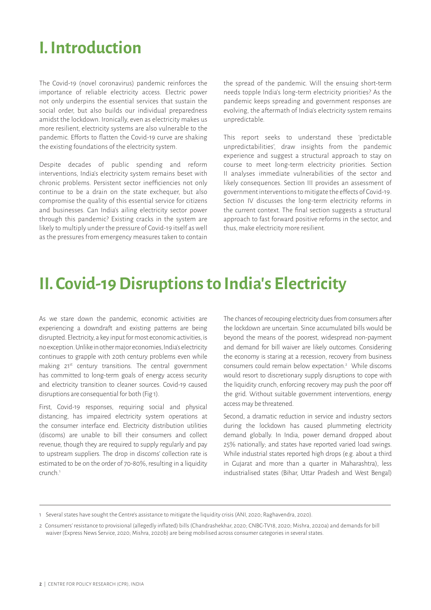## **I. Introduction**

The Covid-19 (novel coronavirus) pandemic reinforces the importance of reliable electricity access. Electric power not only underpins the essential services that sustain the social order, but also builds our individual preparedness amidst the lockdown. Ironically, even as electricity makes us more resilient, electricity systems are also vulnerable to the pandemic. Efforts to flatten the Covid-19 curve are shaking the existing foundations of the electricity system.

Despite decades of public spending and reform interventions, India's electricity system remains beset with chronic problems. Persistent sector inefficiencies not only continue to be a drain on the state exchequer, but also compromise the quality of this essential service for citizens and businesses. Can India's ailing electricity sector power through this pandemic? Existing cracks in the system are likely to multiply under the pressure of Covid-19 itself as well as the pressures from emergency measures taken to contain the spread of the pandemic. Will the ensuing short-term needs topple India's long-term electricity priorities? As the pandemic keeps spreading and government responses are evolving, the aftermath of India's electricity system remains unpredictable.

This report seeks to understand these 'predictable unpredictabilities', draw insights from the pandemic experience and suggest a structural approach to stay on course to meet long-term electricity priorities. Section II analyses immediate vulnerabilities of the sector and likely consequences. Section III provides an assessment of government interventions to mitigate the effects of Covid-19. Section IV discusses the long-term electricity reforms in the current context. The final section suggests a structural approach to fast forward positive reforms in the sector, and thus, make electricity more resilient.

### **II. Covid-19 Disruptions to India's Electricity**

As we stare down the pandemic, economic activities are experiencing a downdraft and existing patterns are being disrupted. Electricity, a key input for most economic activities, is no exception. Unlike in other major economies, India's electricity continues to grapple with 20th century problems even while making 21<sup>st</sup> century transitions. The central government has committed to long-term goals of energy access security and electricity transition to cleaner sources. Covid-19 caused disruptions are consequential for both (Fig 1).

First, Covid-19 responses, requiring social and physical distancing, has impaired electricity system operations at the consumer interface end. Electricity distribution utilities (discoms) are unable to bill their consumers and collect revenue, though they are required to supply regularly and pay to upstream suppliers. The drop in discoms' collection rate is estimated to be on the order of 70-80%, resulting in a liquidity crunch.<sup>1</sup>

The chances of recouping electricity dues from consumers after the lockdown are uncertain. Since accumulated bills would be beyond the means of the poorest, widespread non-payment and demand for bill waiver are likely outcomes. Considering the economy is staring at a recession, recovery from business consumers could remain below expectation.<sup>2</sup> While discoms would resort to discretionary supply disruptions to cope with the liquidity crunch, enforcing recovery may push the poor off the grid. Without suitable government interventions, energy access may be threatened.

Second, a dramatic reduction in service and industry sectors during the lockdown has caused plummeting electricity demand globally. In India, power demand dropped about 25% nationally; and states have reported varied load swings. While industrial states reported high drops (e.g. about a third in Gujarat and more than a quarter in Maharashtra), less industrialised states (Bihar, Uttar Pradesh and West Bengal)

<sup>1</sup> Several states have sought the Centre's assistance to mitigate the liquidity crisis (ANI, 2020; Raghavendra, 2020).

<sup>2</sup> Consumers' resistance to provisional (allegedly inflated) bills (Chandrashekhar, 2020; CNBC-TV18, 2020; Mishra, 2020a) and demands for bill waiver (Express News Service, 2020; Mishra, 2020b) are being mobilised across consumer categories in several states.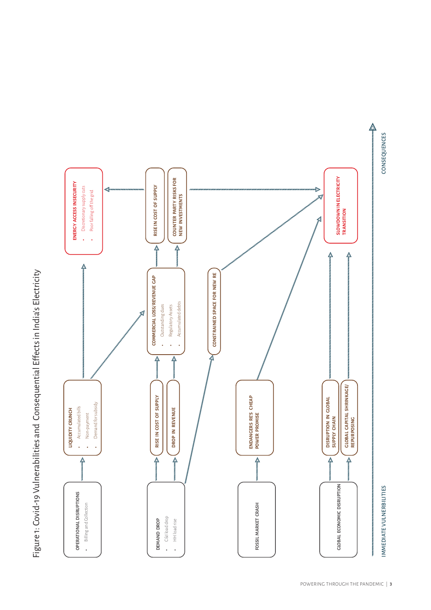



CONSEQUENCES

IMMEDIATE VULNERBILITIES CONSEQUENCES **IMMEDIATE VULNERBILITIES**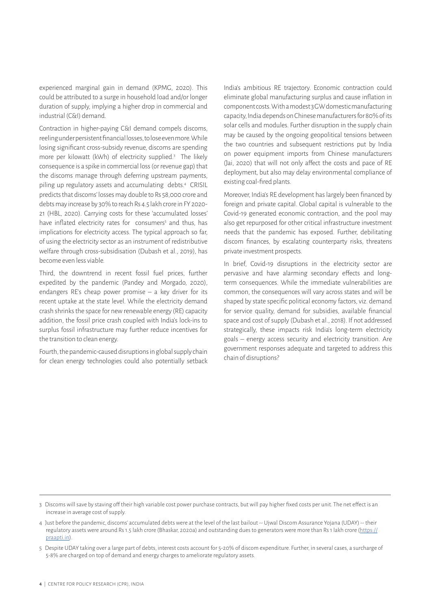experienced marginal gain in demand (KPMG, 2020). This could be attributed to a surge in household load and/or longer duration of supply, implying a higher drop in commercial and industrial (C&I) demand.

Contraction in higher-paying C&I demand compels discoms, reeling under persistent financial losses, to lose even more. While losing significant cross-subsidy revenue, discoms are spending more per kilowatt (kWh) of electricity supplied.<sup>3</sup> The likely consequence is a spike in commercial loss (or revenue gap) that the discoms manage through deferring upstream payments, piling up regulatory assets and accumulating debts.<sup>4</sup> CRISIL predicts that discoms' losses may double to Rs 58,000 crore and debts may increase by 30% to reach Rs 4.5 lakh crore in FY 2020- 21 (HBL, 2020). Carrying costs for these 'accumulated losses' have inflated electricity rates for consumers<sup>5</sup> and thus, has implications for electricity access. The typical approach so far, of using the electricity sector as an instrument of redistributive welfare through cross-subsidisation (Dubash et al., 2019), has become even less viable.

Third, the downtrend in recent fossil fuel prices, further expedited by the pandemic (Pandey and Morgado, 2020), endangers RE's cheap power promise – a key driver for its recent uptake at the state level. While the electricity demand crash shrinks the space for new renewable energy (RE) capacity addition, the fossil price crash coupled with India's lock-ins to surplus fossil infrastructure may further reduce incentives for the transition to clean energy.

Fourth, the pandemic-caused disruptions in global supply chain for clean energy technologies could also potentially setback India's ambitious RE trajectory. Economic contraction could eliminate global manufacturing surplus and cause inflation in component costs. With a modest 3 GW domestic manufacturing capacity, India depends on Chinese manufacturers for 80% of its solar cells and modules. Further disruption in the supply chain may be caused by the ongoing geopolitical tensions between the two countries and subsequent restrictions put by India on power equipment imports from Chinese manufacturers (Jai, 2020) that will not only affect the costs and pace of RE deployment, but also may delay environmental compliance of existing coal-fired plants.

Moreover, India's RE development has largely been financed by foreign and private capital. Global capital is vulnerable to the Covid-19 generated economic contraction, and the pool may also get repurposed for other critical infrastructure investment needs that the pandemic has exposed. Further, debilitating discom finances, by escalating counterparty risks, threatens private investment prospects.

In brief, Covid-19 disruptions in the electricity sector are pervasive and have alarming secondary effects and longterm consequences. While the immediate vulnerabilities are common, the consequences will vary across states and will be shaped by state specific political economy factors, viz. demand for service quality, demand for subsidies, available financial space and cost of supply (Dubash et al., 2018). If not addressed strategically, these impacts risk India's long-term electricity goals – energy access security and electricity transition. Are government responses adequate and targeted to address this chain of disruptions?

<sup>3</sup> Discoms will save by staving off their high variable cost power purchase contracts, but will pay higher fixed costs per unit. The net effect is an increase in average cost of supply.

<sup>4</sup> Just before the pandemic, discoms' accumulated debts were at the level of the last bailout -- Ujwal Discom Assurance Yojana (UDAY) -- their regulatory assets were around Rs 1.5 lakh crore (Bhaskar, 2020a) and outstanding dues to generators were more than Rs 1 lakh crore (https:// praapti.in).

<sup>5</sup> Despite UDAY taking over a large part of debts, interest costs account for 5-20% of discom expenditure. Further, in several cases, a surcharge of 5-8% are charged on top of demand and energy charges to ameliorate regulatory assets.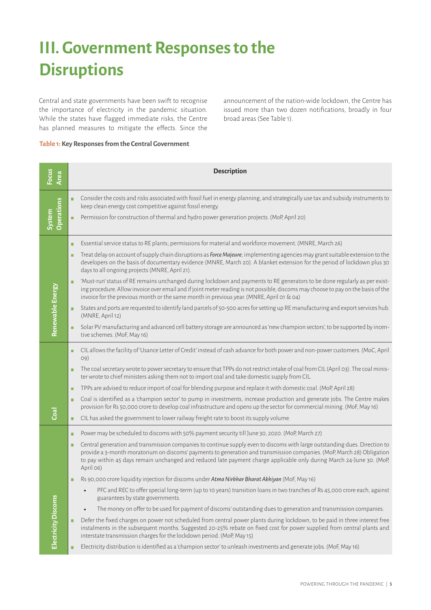## **III. Government Responses to the Disruptions**

Central and state governments have been swift to recognise the importance of electricity in the pandemic situation. While the states have flagged immediate risks, the Centre has planned measures to mitigate the effects. Since the announcement of the nation-wide lockdown, the Centre has issued more than two dozen notifications, broadly in four broad areas (See Table 1).

#### **Table 1: Key Responses from the Central Government**

| Focus<br>Area              | <b>Description</b>                                                                                                                                                                                                                                                                                                                                                                              |
|----------------------------|-------------------------------------------------------------------------------------------------------------------------------------------------------------------------------------------------------------------------------------------------------------------------------------------------------------------------------------------------------------------------------------------------|
|                            | Consider the costs and risks associated with fossil fuel in energy planning, and strategically use tax and subsidy instruments to<br>keep clean energy cost competitive against fossil energy.                                                                                                                                                                                                  |
| Operations<br>System       | Permission for construction of thermal and hydro power generation projects. (MoP, April 20)                                                                                                                                                                                                                                                                                                     |
|                            | Essential service status to RE plants; permissions for material and workforce movement. (MNRE, March 26)<br>п                                                                                                                                                                                                                                                                                   |
|                            | Treat delay on account of supply chain disruptions as Force Majeure; implementing agencies may grant suitable extension to the<br>п<br>developers on the basis of documentary evidence (MNRE, March 20). A blanket extension for the period of lockdown plus 30<br>days to all ongoing projects (MNRE, April 21).                                                                               |
|                            | 'Must-run' status of RE remains unchanged during lockdown and payments to RE generators to be done regularly as per exist-<br>п<br>ing procedure. Allow invoice over email and if joint meter reading is not possible, discoms may choose to pay on the basis of the<br>invoice for the previous month or the same month in previous year. (MNRE, April 01 & 04)                                |
| Renewable Energy           | States and ports are requested to identify land parcels of 50-500 acres for setting up RE manufacturing and export services hub.<br>п<br>(MNRE, April 12)                                                                                                                                                                                                                                       |
|                            | Solar PV manufacturing and advanced cell battery storage are announced as 'new champion sectors', to be supported by incen-<br>п<br>tive schemes. (MoF, May 16)                                                                                                                                                                                                                                 |
|                            | CIL allows the facility of 'Usance Letter of Credit' instead of cash advance for both power and non-power customers. (MoC, April<br>п<br>O9)                                                                                                                                                                                                                                                    |
|                            | The coal secretary wrote to power secretary to ensure that TPPs do not restrict intake of coal from CIL (April 03). The coal minis-<br>п<br>ter wrote to chief ministers asking them not to import coal and take domestic supply from CIL.                                                                                                                                                      |
|                            | TPPs are advised to reduce import of coal for blending purpose and replace it with domestic coal. (MoP, April 28)<br>$\blacksquare$                                                                                                                                                                                                                                                             |
|                            | Coal is identified as a 'champion sector' to pump in investments, increase production and generate jobs. The Centre makes<br>п<br>provision for Rs 50,000 crore to develop coal infrastructure and opens up the sector for commercial mining. (MoF, May 16)                                                                                                                                     |
| Coa                        | CIL has asked the government to lower railway freight rate to boost its supply volume.<br>ш                                                                                                                                                                                                                                                                                                     |
|                            | Power may be scheduled to discoms with 50% payment security till June 30, 2020. (MoP, March 27)<br>п                                                                                                                                                                                                                                                                                            |
|                            | Central generation and transmission companies to continue supply even to discoms with large outstanding dues. Direction to<br>п<br>provide a 3-month moratorium on discoms' payments to generation and transmission companies. (MoP, March 28) Obligation<br>to pay within 45 days remain unchanged and reduced late payment charge applicable only during March 24-June 30. (MoP,<br>April 06) |
|                            | Rs 90,000 crore liquidity injection for discoms under Atma Nirbhar Bharat Abhiyan (MoF, May 16)<br>п                                                                                                                                                                                                                                                                                            |
|                            | PFC and REC to offer special long-term (up to 10 years) transition loans in two tranches of Rs 45,000 crore each, against<br>guarantees by state governments.                                                                                                                                                                                                                                   |
|                            | The money on offer to be used for payment of discoms' outstanding dues to generation and transmission companies.<br>$\bullet$                                                                                                                                                                                                                                                                   |
| <b>Electricity Discoms</b> | Defer the fixed charges on power not scheduled from central power plants during lockdown, to be paid in three interest free<br>instalments in the subsequent months. Suggested 20-25% rebate on fixed cost for power supplied from central plants and<br>interstate transmission charges for the lockdown period. (MoP, May 15)                                                                 |
|                            | Electricity distribution is identified as a 'champion sector' to unleash investments and generate jobs. (MoF, May 16)                                                                                                                                                                                                                                                                           |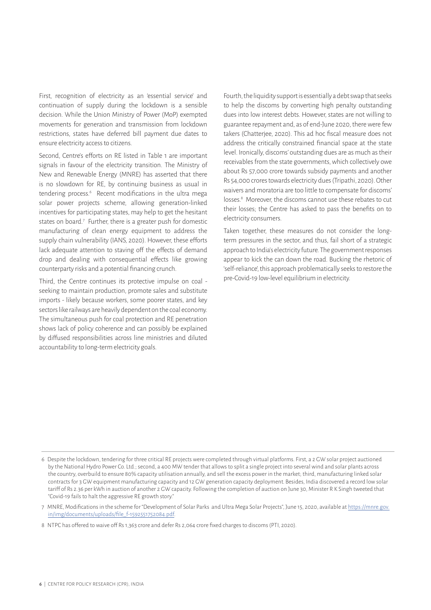First, recognition of electricity as an 'essential service' and continuation of supply during the lockdown is a sensible decision. While the Union Ministry of Power (MoP) exempted movements for generation and transmission from lockdown restrictions, states have deferred bill payment due dates to ensure electricity access to citizens.

Second, Centre's efforts on RE listed in Table 1 are important signals in favour of the electricity transition. The Ministry of New and Renewable Energy (MNRE) has asserted that there is no slowdown for RE, by continuing business as usual in tendering process.<sup>6</sup> Recent modifications in the ultra mega solar power projects scheme, allowing generation-linked incentives for participating states, may help to get the hesitant states on board.<sup>7</sup> Further, there is a greater push for domestic manufacturing of clean energy equipment to address the supply chain vulnerability (IANS, 2020). However, these efforts lack adequate attention to staving off the effects of demand drop and dealing with consequential effects like growing counterparty risks and a potential financing crunch.

Third, the Centre continues its protective impulse on coal seeking to maintain production, promote sales and substitute imports - likely because workers, some poorer states, and key sectors like railways are heavily dependent on the coal economy. The simultaneous push for coal protection and RE penetration shows lack of policy coherence and can possibly be explained by diffused responsibilities across line ministries and diluted accountability to long-term electricity goals.

Fourth, the liquidity support is essentially a debt swap that seeks to help the discoms by converting high penalty outstanding dues into low interest debts. However, states are not willing to guarantee repayment and, as of end-June 2020, there were few takers (Chatterjee, 2020). This ad hoc fiscal measure does not address the critically constrained financial space at the state level. Ironically, discoms' outstanding dues are as much as their receivables from the state governments, which collectively owe about Rs 57,000 crore towards subsidy payments and another Rs 54,000 crores towards electricity dues (Tripathi, 2020). Other waivers and moratoria are too little to compensate for discoms' losses.<sup>8</sup> Moreover, the discoms cannot use these rebates to cut their losses; the Centre has asked to pass the benefits on to electricity consumers.

Taken together, these measures do not consider the longterm pressures in the sector, and thus, fail short of a strategic approach to India's electricity future. The government responses appear to kick the can down the road. Bucking the rhetoric of 'self-reliance', this approach problematically seeks to restore the pre-Covid-19 low-level equilibrium in electricity.

- 6 Despite the lockdown, tendering for three critical RE projects were completed through virtual platforms. First, a 2 GW solar project auctioned by the National Hydro Power Co. Ltd.; second, a 400 MW tender that allows to split a single project into several wind and solar plants across the country, overbuild to ensure 80% capacity utilisation annually, and sell the excess power in the market; third, manufacturing linked solar contracts for 3 GW equipment manufacturing capacity and 12 GW generation capacity deployment. Besides, India discovered a record low solar tariff of Rs 2.36 per kWh in auction of another 2 GW capacity. Following the completion of auction on June 30, Minister R K Singh tweeted that "Covid-19 fails to halt the aggressive RE growth story."
- 7 MNRE, Modifications in the scheme for "Development of Solar Parks and Ultra Mega Solar Projects", June 15, 2020, available at https://mnre.gov. in/img/documents/uploads/file\_f-1592551752084.pdf.
- 8 NTPC has offered to waive off Rs 1,363 crore and defer Rs 2,064 crore fixed charges to discoms (PTI, 2020).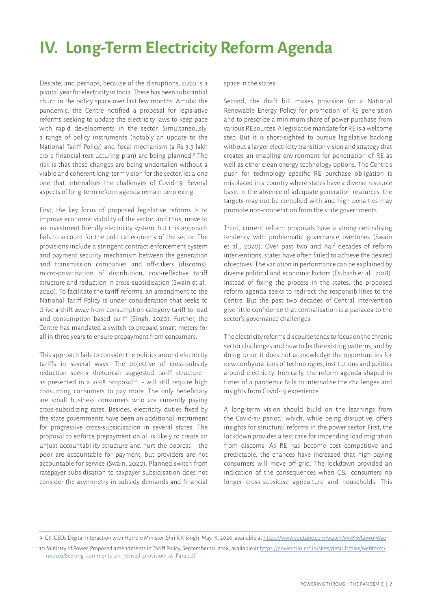## **IV. Long-Term Electricity Reform Agenda**

Despite, and perhaps, because of the disruptions, 2020 is a pivotal year for electricity in India. There has been substantial churn in the policy space over last few months. Amidst the pandemic, the Centre notified a proposal for legislative reforms seeking to update the electricity laws to keep pace with rapid developments in the sector. Simultaneously, a range of policy instruments (notably an update to the National Tariff Policy) and fiscal mechanism (a Rs 3.5 lakh crore financial restructuring plan) are being planned.<sup>9</sup> The risk is that these changes are being undertaken without a viable and coherent long-term vision for the sector, let alone one that internalises the challenges of Covid-19. Several aspects of long-term reform agenda remain perplexing.

First, the key focus of proposed legislative reforms is to improve economic viability of the sector, and thus, move to an investment friendly electricity system, but this approach fails to account for the political economy of the sector. The provisions include a stringent contract enforcement system and payment security mechanism between the generation and transmission companies and off-takers (discoms), micro-privatisation of distribution, cost-reflective tariff structure and reduction in cross-subsidisation (Swain et al., 2020). To facilitate the tariff reforms, an amendment to the National Tariff Policy is under consideration that seeks to drive a shift away from consumption category tariff to load and consumption based tariff (Singh, 2020). Further, the Centre has mandated a switch to prepaid smart meters for all in three years to ensure prepayment from consumers.

This approach fails to consider the politics around electricity tariffs in several ways. The objective of cross-subsidy reduction seems rhetorical: suggested tariff structure as presented in a 2018 proposal<sup>10</sup> - will still require high consuming consumers to pay more. The only beneficiary are small business consumers who are currently paying cross-subsidizing rates. Besides, electricity duties fixed by the state governments have been an additional instrument for progressive cross-subsidization in several states. The proposal to enforce prepayment on all is likely to create an unjust accountability structure and hurt the poorest – the poor are accountable for payment, but providers are not accountable for service (Swain, 2020). Planned switch from ratepayer subsidisation to taxpayer subsidisation does not consider the asymmetry in subsidy demands and financial

space in the states.

Second, the draft bill makes provision for a National Renewable Energy Policy for promotion of RE generation and to prescribe a minimum share of power purchase from various RE sources. A legislative mandate for RE is a welcome step. But it is short-sighted to pursue legislative backing without a larger electricity transition vision and strategy that creates an enabling environment for penetration of RE as well as other clean energy technology options. The Centre's push for technology specific RE purchase obligation is misplaced in a country where states have a diverse resource base. In the absence of adequate generation resources, the targets may not be complied with and high penalties may promote non-cooperation from the state governments.

Third, current reform proposals have a strong centralising tendency with problematic governance overtones (Swain et al., 2020). Over past two and half decades of reform interventions, states have often failed to achieve the desired objectives. The variation in performance can be explained by diverse political and economic factors (Dubash et al., 2018). Instead of fixing the process in the states, the proposed reform agenda seeks to redirect the responsibilities to the Centre. But the past two decades of Central intervention give little confidence that centralisation is a panacea to the sector's governance challenges.

The electricity reforms discourse tends to focus on the chronic sector challenges and how to fix the existing patterns, and by doing to so, it does not acknowledge the opportunities for new configurations of technologies, institutions and politics around electricity. Ironically, the reform agenda shaped in times of a pandemic fails to internalise the challenges and insights from Covid-19 experience.

A long-term vision should build on the learnings from the Covid-19 period, which, while being disruptive, offers insights for structural reforms in the power sector. First, the lockdown provides a test case for impending load migration from discoms. As RE has become cost competitive and predictable, the chances have increased that high-paying consumers will move off-grid. The lockdown provided an indication of the consequences when C&I consumers no longer cross-subsidise agriculture and households. This

9 CII, CEOs Digital Interaction with Hon'ble Minister, Shri R K Singh, May 15, 2020, available at https://www.youtube.com/watch?v=vXWCowolWso

<sup>10</sup> Ministry of Power, Proposed amendments in Tariff Policy, September 10, 2018, available at https://powermin.nic.in/sites/default/files/webform/ notices/Seeking\_comments\_on\_revised\_provision\_at\_Para.pdf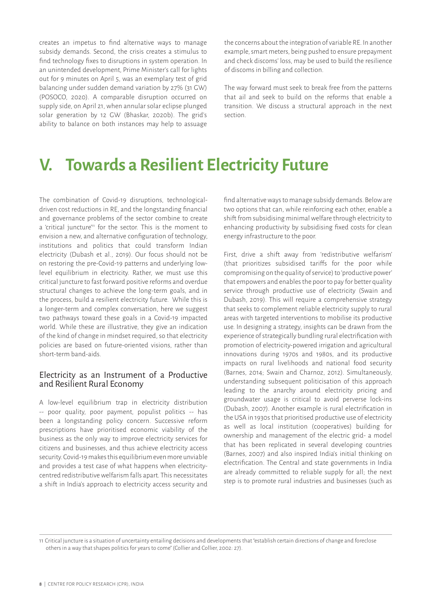creates an impetus to find alternative ways to manage subsidy demands. Second, the crisis creates a stimulus to find technology fixes to disruptions in system operation. In an unintended development, Prime Minister's call for lights out for 9 minutes on April 5, was an exemplary test of grid balancing under sudden demand variation by 27% (31 GW) (POSOCO, 2020). A comparable disruption occurred on supply side, on April 21, when annular solar eclipse plunged solar generation by 12 GW (Bhaskar, 2020b). The grid's ability to balance on both instances may help to assuage

the concerns about the integration of variable RE. In another example, smart meters, being pushed to ensure prepayment and check discoms' loss, may be used to build the resilience of discoms in billing and collection.

The way forward must seek to break free from the patterns that ail and seek to build on the reforms that enable a transition. We discuss a structural approach in the next section.

## **V. Towards a Resilient Electricity Future**

The combination of Covid-19 disruptions, technologicaldriven cost reductions in RE, and the longstanding financial and governance problems of the sector combine to create a 'critical juncture'<sup>11</sup> for the sector. This is the moment to envision a new, and alternative configuration of technology, institutions and politics that could transform Indian electricity (Dubash et al., 2019). Our focus should not be on restoring the pre-Covid-19 patterns and underlying lowlevel equilibrium in electricity. Rather, we must use this critical juncture to fast forward positive reforms and overdue structural changes to achieve the long-term goals, and in the process, build a resilient electricity future. While this is a longer-term and complex conversation, here we suggest two pathways toward these goals in a Covid-19 impacted world. While these are illustrative, they give an indication of the kind of change in mindset required, so that electricity policies are based on future-oriented visions, rather than short-term band-aids.

#### Electricity as an Instrument of a Productive and Resilient Rural Economy

A low-level equilibrium trap in electricity distribution -- poor quality, poor payment, populist politics -- has been a longstanding policy concern. Successive reform prescriptions have prioritised economic viability of the business as the only way to improve electricity services for citizens and businesses, and thus achieve electricity access security. Covid-19 makes this equilibrium even more unviable and provides a test case of what happens when electricitycentred redistributive welfarism falls apart. This necessitates a shift in India's approach to electricity access security and find alternative ways to manage subsidy demands. Below are two options that can, while reinforcing each other, enable a shift from subsidising minimal welfare through electricity to enhancing productivity by subsidising fixed costs for clean energy infrastructure to the poor.

First, drive a shift away from 'redistributive welfarism' (that prioritizes subsidised tariffs for the poor while compromising on the quality of service) to 'productive power' that empowers and enables the poor to pay for better quality service through productive use of electricity (Swain and Dubash, 2019). This will require a comprehensive strategy that seeks to complement reliable electricity supply to rural areas with targeted interventions to mobilise its productive use. In designing a strategy, insights can be drawn from the experience of strategically bundling rural electrification with promotion of electricity-powered irrigation and agricultural innovations during 1970s and 1980s, and its productive impacts on rural livelihoods and national food security (Barnes, 2014; Swain and Charnoz, 2012). Simultaneously, understanding subsequent politicisation of this approach leading to the anarchy around electricity pricing and groundwater usage is critical to avoid perverse lock-ins (Dubash, 2007). Another example is rural electrification in the USA in 1930s that prioritised productive use of electricity as well as local institution (cooperatives) building for ownership and management of the electric grid- a model that has been replicated in several developing countries (Barnes, 2007) and also inspired India's initial thinking on electrification. The Central and state governments in India are already committed to reliable supply for all; the next step is to promote rural industries and businesses (such as

11 Critical juncture is a situation of uncertainty entailing decisions and developments that "establish certain directions of change and foreclose others in a way that shapes politics for years to come" (Collier and Collier, 2002: 27).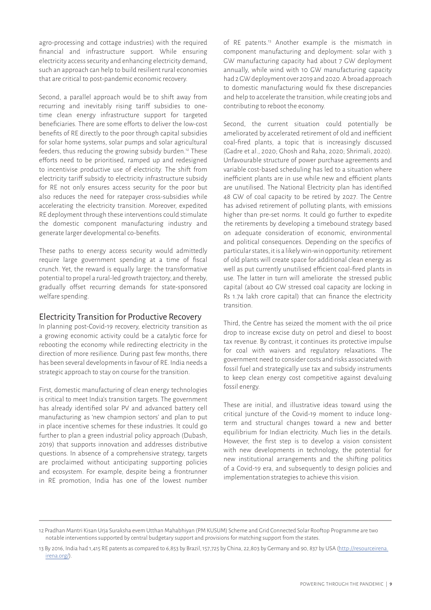agro-processing and cottage industries) with the required financial and infrastructure support. While ensuring electricity access security and enhancing electricity demand, such an approach can help to build resilient rural economies that are critical to post-pandemic economic recovery.

Second, a parallel approach would be to shift away from recurring and inevitably rising tariff subsidies to onetime clean energy infrastructure support for targeted beneficiaries. There are some efforts to deliver the low-cost benefits of RE directly to the poor through capital subsidies for solar home systems, solar pumps and solar agricultural feeders, thus reducing the growing subsidy burden.12 These efforts need to be prioritised, ramped up and redesigned to incentivise productive use of electricity. The shift from electricity tariff subsidy to electricity infrastructure subsidy for RE not only ensures access security for the poor but also reduces the need for ratepayer cross-subsidies while accelerating the electricity transition. Moreover, expedited RE deployment through these interventions could stimulate the domestic component manufacturing industry and generate larger developmental co-benefits.

These paths to energy access security would admittedly require large government spending at a time of fiscal crunch. Yet, the reward is equally large: the transformative potential to propel a rural-led growth trajectory, and thereby, gradually offset recurring demands for state-sponsored welfare spending.

#### Electricity Transition for Productive Recovery

In planning post-Covid-19 recovery, electricity transition as a growing economic activity could be a catalytic force for rebooting the economy while redirecting electricity in the direction of more resilience. During past few months, there has been several developments in favour of RE. India needs a strategic approach to stay on course for the transition.

First, domestic manufacturing of clean energy technologies is critical to meet India's transition targets. The government has already identified solar PV and advanced battery cell manufacturing as 'new champion sectors' and plan to put in place incentive schemes for these industries. It could go further to plan a green industrial policy approach (Dubash, 2019) that supports innovation and addresses distributive questions. In absence of a comprehensive strategy, targets are proclaimed without anticipating supporting policies and ecosystem. For example, despite being a frontrunner in RE promotion, India has one of the lowest number of RE patents.13 Another example is the mismatch in component manufacturing and deployment: solar with 3 GW manufacturing capacity had about 7 GW deployment annually, while wind with 10 GW manufacturing capacity had 2 GW deployment over 2019 and 2020. A broad approach to domestic manufacturing would fix these discrepancies and help to accelerate the transition, while creating jobs and contributing to reboot the economy.

Second, the current situation could potentially be ameliorated by accelerated retirement of old and inefficient coal-fired plants, a topic that is increasingly discussed (Gadre et al., 2020; Ghosh and Raha, 2020; Shrimali, 2020). Unfavourable structure of power purchase agreements and variable cost-based scheduling has led to a situation where inefficient plants are in use while new and efficient plants are unutilised. The National Electricity plan has identified 48 GW of coal capacity to be retired by 2027. The Centre has advised retirement of polluting plants, with emissions higher than pre-set norms. It could go further to expedite the retirements by developing a timebound strategy based on adequate consideration of economic, environmental and political consequences. Depending on the specifics of particular states, it is a likely win-win opportunity: retirement of old plants will create space for additional clean energy as well as put currently unutilised efficient coal-fired plants in use. The latter in turn will ameliorate the stressed public capital (about 40 GW stressed coal capacity are locking in Rs 1.74 lakh crore capital) that can finance the electricity transition.

Third, the Centre has seized the moment with the oil price drop to increase excise duty on petrol and diesel to boost tax revenue. By contrast, it continues its protective impulse for coal with waivers and regulatory relaxations. The government need to consider costs and risks associated with fossil fuel and strategically use tax and subsidy instruments to keep clean energy cost competitive against devaluing fossil energy.

These are initial, and illustrative ideas toward using the critical juncture of the Covid-19 moment to induce longterm and structural changes toward a new and better equilibrium for Indian electricity. Much lies in the details. However, the first step is to develop a vision consistent with new developments in technology, the potential for new institutional arrangements and the shifting politics of a Covid-19 era, and subsequently to design policies and implementation strategies to achieve this vision.

<sup>12</sup> Pradhan Mantri Kisan Urja Suraksha evem Utthan Mahabhiyan (PM KUSUM) Scheme and Grid Connected Solar Rooftop Programme are two notable interventions supported by central budgetary support and provisions for matching support from the states.

<sup>13</sup> By 2016, India had 1,415 RE patents as compared to 6,853 by Brazil, 157,725 by China, 22,803 by Germany and 90, 837 by USA (http://resourceirena. irena.org/).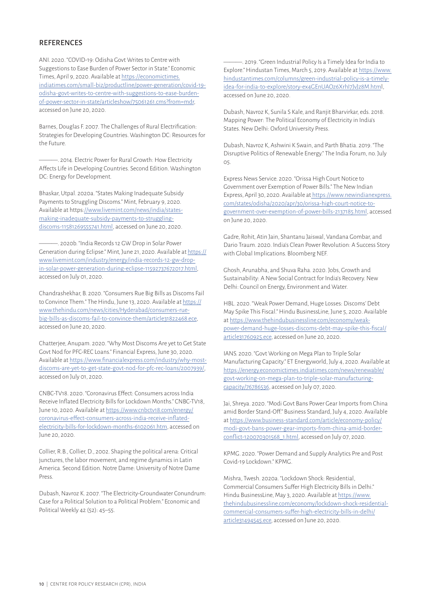#### **REFERENCES**

ANI. 2020. "COVID-19: Odisha Govt Writes to Centre with Suggestions to Ease Burden of Power Sector in State." Economic Times, April 9, 2020. Available at https://economictimes. indiatimes.com/small-biz/productline/power-generation/covid-19 odisha-govt-writes-to-centre-with-suggestions-to-ease-burdenof-power-sector-in-state/articleshow/75061261.cms?from=mdr, accessed on June 20, 2020.

Barnes, Douglas F. 2007. The Challenges of Rural Electrification: Strategies for Developing Countries. Washington DC: Resources for the Future.

———. 2014. Electric Power for Rural Growth: How Electricity Affects Life in Developing Countries. Second Edition. Washington DC: Energy for Development.

Bhaskar, Utpal. 2020a. "States Making Inadequate Subsidy Payments to Struggling Discoms." Mint, February 9, 2020. Available at https://www.livemint.com/news/india/statesmaking-inadequate-subsidy-payments-to-strugglingdiscoms-11581269555741.html, accessed on June 20, 2020.

———. 2020b. "India Records 12 GW Drop in Solar Power Generation during Eclipse." Mint, June 21, 2020. Available at https:// www.livemint.com/industry/energy/india-records-12-gw-dropin-solar-power-generation-during-eclipse-11592737672017.html, accessed on July 01, 2020.

Chandrashekhar, B. 2020. "Consumers Rue Big Bills as Discoms Fail to Convince Them." The Hindu, June 13, 2020. Available at https:// www.thehindu.com/news/cities/Hyderabad/consumers-ruebig-bills-as-discoms-fail-to-convince-them/article31822468.ece, accessed on June 20, 2020.

Chatterjee, Anupam. 2020. "Why Most Discoms Are yet to Get State Govt Nod for PFC-REC Loans." Financial Express, June 30, 2020. Available at https://www.financialexpress.com/industry/why-mostdiscoms-are-yet-to-get-state-govt-nod-for-pfc-rec-loans/2007939/, accessed on July 01, 2020.

CNBC-TV18. 2020. "Coronavirus Effect: Consumers across India Receive Inflated Electricity Bills for Lockdown Months." CNBC-TV18, June 10, 2020. Available at https://www.cnbctv18.com/energy/ coronavirus-effect-consumers-across-india-receive-inflatedelectricity-bills-for-lockdown-months-6102061.htm, accessed on June 20, 2020.

Collier, R.B., Collier, D., 2002. Shaping the political arena: Critical junctures, the labor movement, and regime dynamics in Latin America. Second Edition. Notre Dame: University of Notre Dame Press.

Dubash, Navroz K. 2007. "The Electricity-Groundwater Conundrum: Case for a Political Solution to a Political Problem." Economic and Political Weekly 42 (52): 45–55.

———. 2019. "Green Industrial Policy Is a Timely Idea for India to Explore." Hindustan Times, March 5, 2019. Available at https://www. hindustantimes.com/columns/green-industrial-policy-is-a-timelyidea-for-india-to-explore/story-ex4GEnUAOz6XrhI7JvJz8M.html, accessed on June 20, 2020.

Dubash, Navroz K, Sunila S Kale, and Ranjit Bharvirkar, eds. 2018. Mapping Power: The Political Economy of Electricity in India's States. New Delhi: Oxford University Press.

Dubash, Navroz K, Ashwini K Swain, and Parth Bhatia. 2019. "The Disruptive Politics of Renewable Energy." The India Forum, no. July 05.

Express News Service. 2020. "Orissa High Court Notice to Government over Exemption of Power Bills." The New Indian Express, April 30, 2020. Available at https://www.newindianexpress. com/states/odisha/2020/apr/30/orissa-high-court-notice-togovernment-over-exemption-of-power-bills-2137185.html, accessed on June 20, 2020.

Gadre, Rohit, Atin Jain, Shantanu Jaiswal, Vandana Gombar, and Dario Traum. 2020. India's Clean Power Revolution: A Success Story with Global Implications. Bloomberg NEF.

Ghosh, Arunabha, and Shuva Raha. 2020. Jobs, Growth and Sustainability: A New Social Contract for India's Recovery. New Delhi: Council on Energy, Environment and Water.

HBL. 2020. "Weak Power Demand, Huge Losses: Discoms' Debt May Spike This Fiscal." Hindu BusinessLine, June 5, 2020. Available at https://www.thehindubusinessline.com/economy/weakpower-demand-huge-losses-discoms-debt-may-spike-this-fiscal/ article31760925.ece, accessed on June 20, 2020.

IANS. 2020. "Govt Working on Mega Plan to Triple Solar Manufacturing Capacity." ET Energyworld, July 4, 2020. Available at https://energy.economictimes.indiatimes.com/news/renewable/ govt-working-on-mega-plan-to-triple-solar-manufacturingcapacity/76786536, accessed on July 07, 2020.

Jai, Shreya. 2020. "Modi Govt Bans Power Gear Imports from China amid Border Stand-Off." Business Standard, July 4, 2020. Available at https://www.business-standard.com/article/economy-policy/ modi-govt-bans-power-gear-imports-from-china-amid-borderconflict-120070301568\_1.html, accessed on July 07, 2020.

KPMG. 2020. "Power Demand and Supply Analytics Pre and Post Covid-19 Lockdown." KPMG.

Mishra, Twesh. 2020a. "Lockdown Shock: Residential, Commercial Consumers Suffer High Electricity Bills in Delhi." Hindu BusinessLine, May 3, 2020. Available at https://www. thehindubusinessline.com/economy/lockdown-shock-residentialcommercial-consumers-suffer-high-electricity-bills-in-delhi/ article31494545.ece, accessed on June 20, 2020.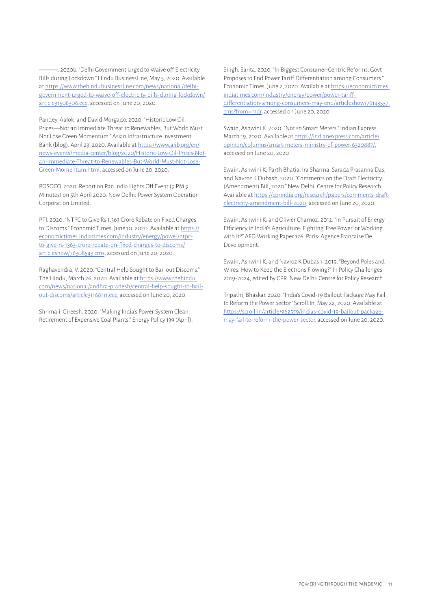———. 2020b. "Delhi Government Urged to Waive off Electricity Bills during Lockdown." Hindu BusinessLine, May 5, 2020. Available at https://www.thehindubusinessline.com/news/national/delhigovernment-urged-to-waive-off-electricity-bills-during-lockdown/ article31508306.ece, accessed on June 20, 2020.

Pandey, Aalok, and David Morgado. 2020. "Historic Low Oil Prices—Not an Immediate Threat to Renewables, But World Must Not Lose Green Momentum." Asian Infrastructure Investment Bank (blog). April 23, 2020. Available at https://www.aiib.org/en/ news-events/media-center/blog/2020/Historic-Low-Oil-Prices-Notan-Immediate-Threat-to-Renewables-But-World-Must-Not-Lose-Green-Momentum.html, accessed on June 20, 2020.

POSOCO. 2020. Report on Pan India Lights Off Event (9 PM 9 Minutes) on 5th April 2020. New Delhi: Power System Operation Corporation Limited.

PTI. 2020. "NTPC to Give Rs 1,363 Crore Rebate on Fixed Charges to Discoms." Economic Times, June 10, 2020. Available at https:// economictimes.indiatimes.com/industry/energy/power/ntpcto-give-rs-1363-crore-rebate-on-fixed-charges-to-discoms/ articleshow/76308543.cms, accessed on June 20, 2020.

Raghavendra, V. 2020. "Central Help Sought to Bail out Discoms." The Hindu, March 26, 2020. Available at https://www.thehindu. com/news/national/andhra-pradesh/central-help-sought-to-bailout-discoms/article31168111.ece, accessed on June 20, 2020.

Shrimali, Gireesh. 2020. "Making India's Power System Clean: Retirement of Expensive Coal Plants." Energy Policy 139 (April). Singh, Sarita. 2020. "In Biggest Consumer-Centric Reforms, Govt Proposes to End Power Tariff Differentiation among Consumers." Economic Times, June 2, 2020. Available at https://economictimes. indiatimes.com/industry/energy/power/power-tariffdifferentiation-among-consumers-may-end/articleshow/76143537. cms?from=mdr, accessed on June 20, 2020.

Swain, Ashwini K. 2020. "Not so Smart Meters." Indian Express, March 19, 2020. Available at https://indianexpress.com/article/ opinion/columns/smart-meters-ministry-of-power-6320887/, accessed on June 20, 2020.

Swain, Ashwini K, Parth Bhatia, Ira Sharma, Sarada Prasanna Das, and Navroz K Dubash. 2020. "Comments on the Draft Electricity (Amendment) Bill, 2020." New Delhi: Centre for Policy Research. Available at https://cprindia.org/research/papers/comments-draftelectricity-amendment-bill-2020, accessed on June 20, 2020.

Swain, Ashwini K, and Olivier Charnoz. 2012. "In Pursuit of Energy Efficiency in India's Agriculture: Fighting 'Free Power' or Working with It?" AFD Working Paper 126. Paris: Agence Francaise De Development.

Swain, Ashwini K, and Navroz K Dubash. 2019. "Beyond Poles and Wires: How to Keep the Electrons Flowing?" In Policy Challenges 2019-2024, edited by CPR. New Delhi: Centre for Policy Research.

Tripathi, Bhaskar. 2020. "India's Covid-19 Bailout Package May Fail to Reform the Power Sector." Scroll.In, May 22, 2020. Available at https://scroll.in/article/962559/indias-covid-19-bailout-packagemay-fail-to-reform-the-power-sector, accessed on June 20, 2020.